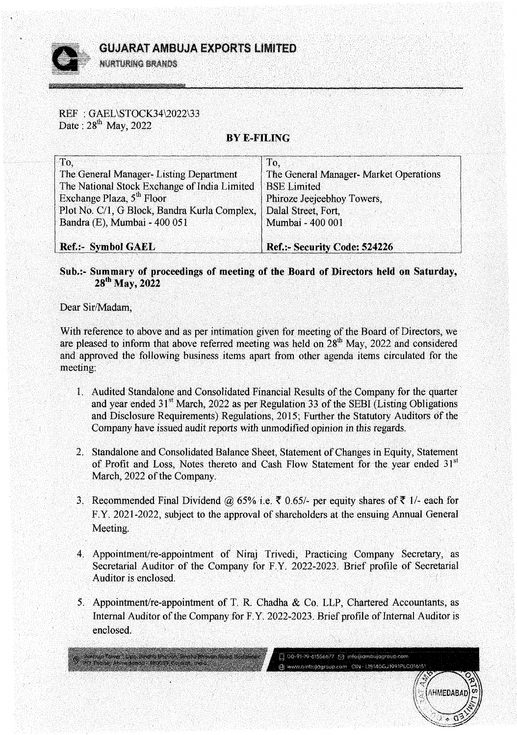REF : GAEL\STOCK34\2022\33 Date:  $28^{th}$  May, 2022

## **BYE-FILING**

| To.                                          | To.                                    |
|----------------------------------------------|----------------------------------------|
| The General Manager-Listing Department       | The General Manager- Market Operations |
| The National Stock Exchange of India Limited | <b>BSE</b> Limited                     |
| Exchange Plaza, 5 <sup>th</sup> Floor        | Phiroze Jeejeebhoy Towers,             |
| Plot No. C/1, G Block, Bandra Kurla Complex, | Dalal Street, Fort,                    |
| Bandra (E), Mumbai - 400 051                 | Mumbai - 400 001                       |
| <b>Ref.:- Symbol GAEL</b>                    | Ref.:- Security Code: 524226           |

## **Sub.:- Summary of proceedings of meeting of the Board of Directors held on Saturday,**  28<sup>th</sup> May, 2022

Dear Sir/Madam,

With reference to above and as per intimation given for meeting of the Board of Directors, we are pleased to inform that above referred meeting was held on  $28<sup>th</sup>$  May, 2022 and considered and approved the following business items apart from other agenda items circulated for the meeting:

- 1. Audited Standalone and Consolidated Financial Results of the Company for the quarter and year ended  $31<sup>st</sup>$  March, 2022 as per Regulation 33 of the SEBI (Listing Obligations and Disclosure Requirements) Regulations, 2015; Further the Statutory Auditors of the Company have issued audit reports with unmodified opinion in this regards.
- 2. Standalone and Consolidated Balance Sheet, Statement of Changes in Equity, Statement of Profit and Loss, Notes thereto and Cash Flow Statement for the year ended  $31<sup>st</sup>$ March, 2022 of the Company.
- 3. Recommended Final Dividend @ 65% i.e.  $\bar{\mathfrak{c}}$  0.65/- per equity shares of  $\bar{\mathfrak{c}}$  1/- each for F.Y. 2021-2022, subject to the approval of shareholders at the ensuing Annual General Meeting.
- 4. Appointment/re-appointment of Niraj Trivedi, Practicing Company Secretary, as Secretarial Auditor of the Company for F. Y. 2022-2023. Brief profile of Secretarial Auditor is enclosed. *(*
- *5.* Appointment/re-appointment of T. R. Chadha & Co. LLP, Chartered Accountants, as Internal Auditor of the Company for F.Y. 2022-2023. Brief profile of Internal Auditor is enclosed.

[] 00-91-79-01556677 [2] info@ambujagroup.com @ www.ambulagroup.com CIN-LIS140GJ1991PLC016151

er Opp. Sindho Bhewan, Sindho Rhavan Road, Bedakdev.

AHMEDAB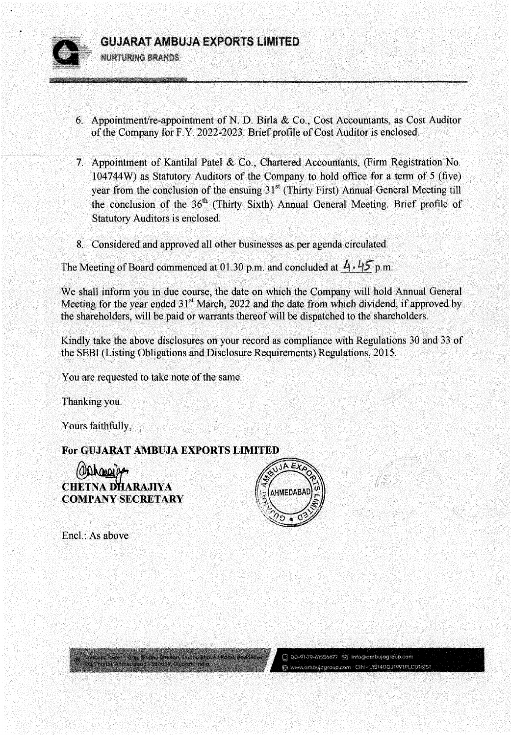**GUJARAT AMBUJA EXPORTS LIMITED** 

NURTURING BRANDS

- 6. Appointment/re-appointment of N. D. Birla  $& Co., Cost$  Accountants, as Cost Auditor of the Company for F.Y. 2022-2023. Brief profile of Cost Auditor is enclosed.
- 7. Appointment of Kantilal Patel & Co., Chartered Accountants, (Firm Registration No.  $104744W$ ) as Statutory Auditors of the Company to hold office for a term of 5 (five). year from the conclusion of the ensuing  $31<sup>st</sup>$  (Thirty First) Annual General Meeting till the conclusion of the  $36<sup>th</sup>$  (Thirty Sixth) Annual General Meeting. Brief profile of Statutory Auditors is enclosed.
- 8. Considered and approved all other businesses as per agenda circulated.

The Meeting of Board commenced at 01.30 p.m. and concluded at  $4 \cdot 45$  p.m.

We shall inform you in due course, the date on which the Company will hold Annual General Meeting for the year ended  $31<sup>st</sup>$  March, 2022 and the date from which dividend, if approved by the shareholders, will be paid or warrants thereof will be dispatched to the shareholders.

Kindly take the above disclosures on your record as compliance with Regulations 30 and 33 of the SEBI (Listing Obligations and Disclosure.Requirements) Regulations, 2015.

You are requested to take note of the same.

Thanking you. ·

Yours faithfully,

**For GUJARAT AMBUJA EXPORTS LIMITED**<br> **Aldrawith** 

majir Tawe - Siga, Singha Bhavon, Singha Bhavon Rand, Bodailtiev,

**CHETNA DHARAJIYA 'COMPANYSECRETARY** 



Q 00-91-79-61556677 [S] Info@ambujagroup.com @ www.ambujagroup.com CIN -115140G./1991PLCO16151

Encl.: As above